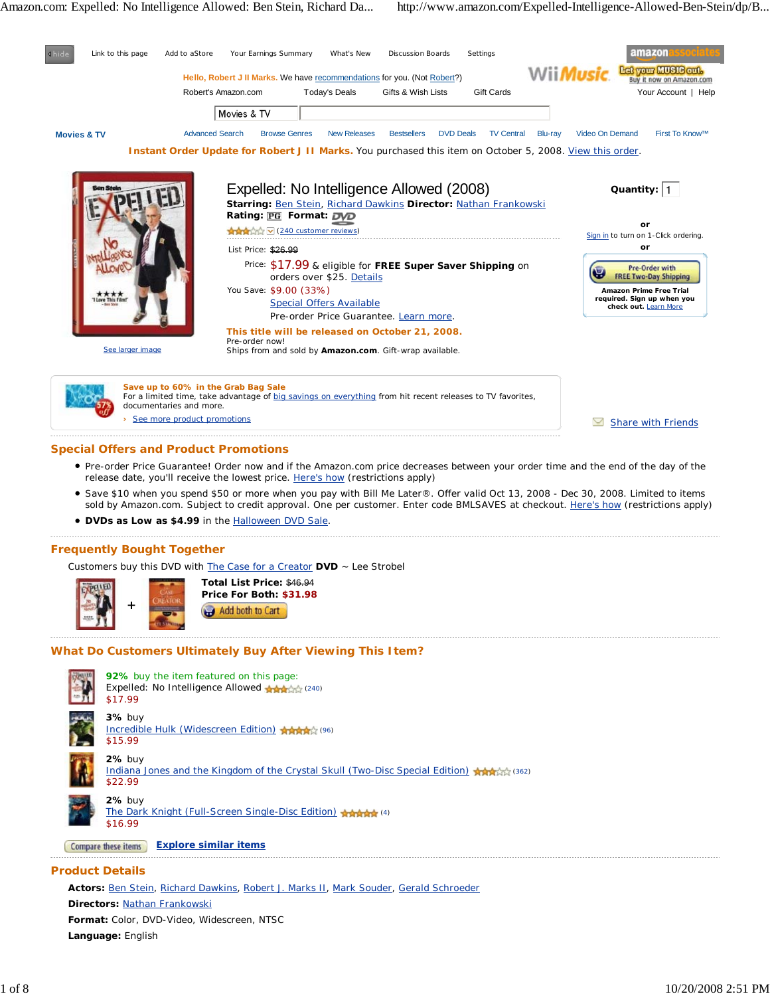

## **Special Offers and Product Promotions**

- Pre-order Price Guarantee! Order now and if the Amazon.com price decreases between your order time and the end of the day of the release date, you'll receive the lowest price. Here's how (restrictions apply)
- Save \$10 when you spend \$50 or more when you pay with Bill Me Later®. Offer valid Oct 13, 2008 Dec 30, 2008. Limited to items sold by Amazon.com. Subject to credit approval. One per customer. Enter code BMLSAVES at checkout. Here's how (restrictions apply)
- **DVDs as Low as \$4.99** in the Halloween DVD Sale.

## **Frequently Bought Together**

Customers buy this DVD with The Case for a Creator **DVD** ~ Lee Strobel



**Total List Price:** \$46.94 **Price For Both: \$31.98** Add both to Cart

## **What Do Customers Ultimately Buy After Viewing This Item?**



**Product Details**

**Actors:** Ben Stein, Richard Dawkins, Robert J. Marks II, Mark Souder, Gerald Schroeder **Directors:** Nathan Frankowski

**Format:** Color, DVD-Video, Widescreen, NTSC **Language:** English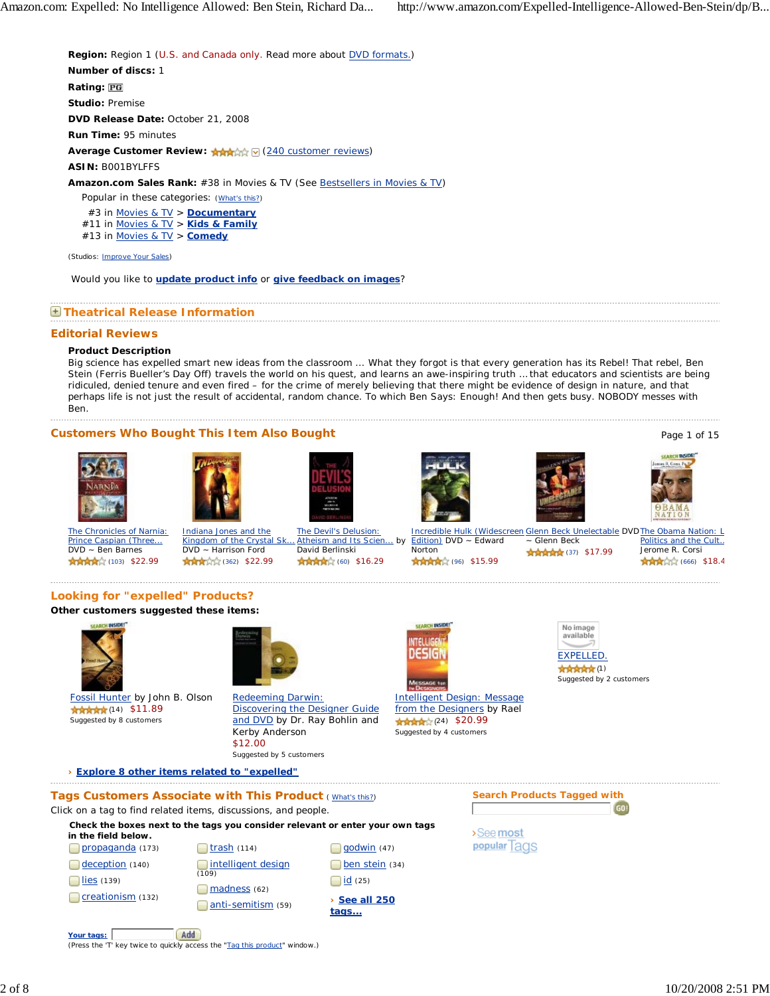**Region:** Region 1 (U.S. and Canada only. Read more about **DVD** formats.) **Number of discs:** 1 **Rating: Studio:** Premise **DVD Release Date:** October 21, 2008 **Run Time:** 95 minutes **Average Customer Review: Array MING (240 customer reviews) ASIN:** B001BYLFFS **Amazon.com Sales Rank:** #38 in Movies & TV (See Bestsellers in Movies & TV) Popular in these categories: (What's this?) #3 in Movies & TV > **Documentary** #11 in Movies & TV > **Kids & Family** #13 in Movies & TV > **Comedy**

(Studios: **Improve Your Sales)** 

Would you like to **update product info** or **give feedback on images**?

## **Theatrical Release Information**

#### **Editorial Reviews**

# **Product Description**

Big science has expelled smart new ideas from the classroom ... What they forgot is that every generation has its Rebel! That rebel, Ben Stein (Ferris Bueller's Day Off) travels the world on his quest, and learns an awe-inspiring truth … that educators and scientists are being ridiculed, denied tenure and even fired – for the crime of merely believing that there might be evidence of design in nature, and that perhaps life is not just the result of accidental, random chance. To which Ben Says: Enough! And then gets busy. NOBODY messes with Ben.

# **Customers Who Bought This Item Also Bought** Page 1 of 15 and 2008 and 2008 and 2008 and 2008 and 2008 and 2008 and 2008 and 2008 and 2008 and 2008 and 2008 and 2008 and 2008 and 2008 and 2008 and 2008 and 2008 and 2008 an













The Chronicles of Narnia: Prince Caspian (Three... DVD ~ Ben Barnes 食食食(103) \$22.99

Indiana Jones and the Kingdom of the Crystal Sk. DVD ~ Harrison Ford (362) \$22.99

The Devil's Delusion: Atheism and Its Scien... by David Berlinski 食食食(60) \$16.29

Incredible Hulk (Widescreen Glenn Beck Unelectable DVD The Obama Nation: L Edition) DVD ~ Edward Norton 食食食(96) \$15.99

~ Glenn Beck 食食食食 (37) \$17.99 Politics and the Cult.. Jerome R. Corsi **AMADE (666) \$18.4** 

## **Looking for "expelled" Products?**

## **Other customers suggested these items:**



Fossil Hunter by John B. Olson 食食食食(14) \$11.89 Suggested by 8 customers



Redeeming Darwin: Discovering the Designer Guide and DVD by Dr. Ray Bohlin and Kerby Anderson \$12.00 Suggested by 5 customers



Intelligent Design: Message from the Designers by Rael 食食食(24) \$20.99 Suggested by 4 customers



**女女女女女(1)** Suggested by 2 customers

**› Explore 8 other items related to "expelled"**

# **Tags Customers Associate with This Product ( What's this?)**

Click on a tag to find related items, discussions, and people.

(Press the 'T' key twice to quickly access the "Tag this product" window.)

**Check the boxes next to the tags you consider relevant or enter your own tags**





>See most popular Tags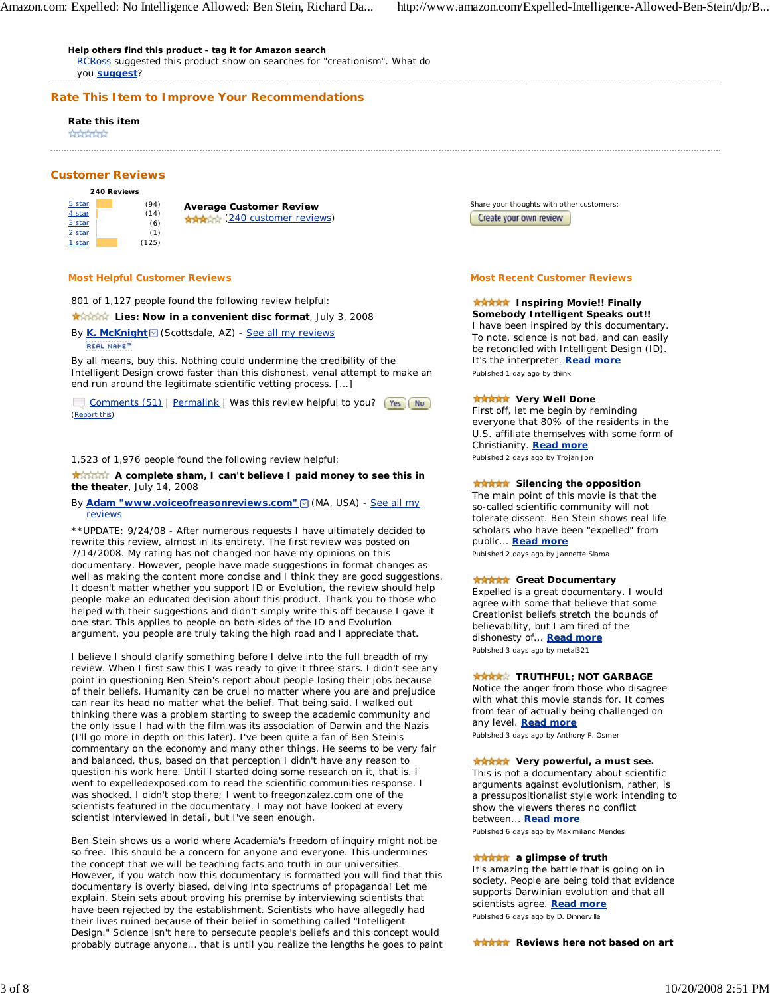**Help others find this product - tag it for Amazon search** RCRoss suggested this product show on searches for "creationism". What do you **suggest**?

**Rate This Item to Improve Your Recommendations**

#### **Rate this item**

**Andrews** 

## **Customer Reviews**

| 240 Reviews |  |       |
|-------------|--|-------|
| 5 star:     |  | (94)  |
| 4 star:     |  | (14)  |
| 3 star:     |  | (6)   |
| 2 star:     |  | (1)   |
| 1 star:     |  | (125) |

**Average Customer Review AMARK (240 customer reviews)** 

#### **Most Helpful Customer Reviews**

801 of 1,127 people found the following review helpful:

**Krather** Lies: Now in a convenient disc format, July 3, 2008

By **K. McKnight** (Scottsdale, AZ) - See all my reviews **REAL NAME**<sup>m</sup>

By all means, buy this. Nothing could undermine the credibility of the Intelligent Design crowd faster than this dishonest, venal attempt to make an end run around the legitimate scientific vetting process. [...]

Comments (51) | Permalink | Was this review helpful to you? [Yes] No] (Report this)

#### 1,523 of 1,976 people found the following review helpful:

**A complete sham, I can't believe I paid money to see this in the theater**, July 14, 2008

#### By **Adam "www.voiceofreasonreviews.com"** MA, USA) - See all my reviews

\*\*UPDATE: 9/24/08 - After numerous requests I have ultimately decided to rewrite this review, almost in its entirety. The first review was posted on 7/14/2008. My rating has not changed nor have my opinions on this documentary. However, people have made suggestions in format changes as well as making the content more concise and I think they are good suggestions. It doesn't matter whether you support ID or Evolution, the review should help people make an educated decision about this product. Thank you to those who helped with their suggestions and didn't simply write this off because I gave it one star. This applies to people on both sides of the ID and Evolution argument, you people are truly taking the high road and I appreciate that.

I believe I should clarify something before I delve into the full breadth of my review. When I first saw this I was ready to give it three stars. I didn't see any point in questioning Ben Stein's report about people losing their jobs because of their beliefs. Humanity can be cruel no matter where you are and prejudice can rear its head no matter what the belief. That being said, I walked out thinking there was a problem starting to sweep the academic community and the only issue I had with the film was its association of Darwin and the Nazis (I'll go more in depth on this later). I've been quite a fan of Ben Stein's commentary on the economy and many other things. He seems to be very fair and balanced, thus, based on that perception I didn't have any reason to question his work here. Until I started doing some research on it, that is. I went to expelledexposed.com to read the scientific communities response. I was shocked. I didn't stop there; I went to freegonzalez.com one of the scientists featured in the documentary. I may not have looked at every scientist interviewed in detail, but I've seen enough.

Ben Stein shows us a world where Academia's freedom of inquiry might not be so free. This should be a concern for anyone and everyone. This undermines the concept that we will be teaching facts and truth in our universities. However, if you watch how this documentary is formatted you will find that this documentary is overly biased, delving into spectrums of propaganda! Let me explain. Stein sets about proving his premise by interviewing scientists that have been rejected by the establishment. Scientists who have allegedly had their lives ruined because of their belief in something called "Intelligent Design." Science isn't here to persecute people's beliefs and this concept would probably outrage anyone... that is until you realize the lengths he goes to paint Share your thoughts with other customers: Create your own review

#### **Most Recent Customer Reviews**

## **ARAAA** Inspiring Movie!! Finally **Somebody Intelligent Speaks out!!**

I have been inspired by this documentary. To note, science is not bad, and can easily be reconciled with Intelligent Design (ID). It's the interpreter. **Read more** Published 1 day ago by thiink

# **XXXXX** Very Well Done

First off, let me begin by reminding everyone that 80% of the residents in the U.S. affiliate themselves with some form of Christianity. **Read more** Published 2 days ago by Trojan Jon

## **Silencing the opposition**

The main point of this movie is that the so-called scientific community will not tolerate dissent. Ben Stein shows real life scholars who have been "expelled" from public... **Read more**

Published 2 days ago by Jannette Slama

## **RAAAA** Great Documentary

Expelled is a great documentary. I would agree with some that believe that some Creationist beliefs stretch the bounds of believability, but I am tired of the dishonesty of... **Read more** Published 3 days ago by metal321

## **TRUTHFUL; NOT GARBAGE**

Notice the anger from those who disagree with what this movie stands for. It comes from fear of actually being challenged on any level. **Read more**

Published 3 days ago by Anthony P. Osmer

## **XXXXX** Very powerful, a must see.

This is not a documentary about scientific arguments against evolutionism, rather, is a pressupositionalist style work intending to show the viewers theres no conflict between... **Read more**

Published 6 days ago by Maximiliano Mendes

## **AAAAA** a glimpse of truth

It's amazing the battle that is going on in society. People are being told that evidence supports Darwinian evolution and that all scientists agree. **Read more** Published 6 days ago by D. Dinnerville

**RARAK** Reviews here not based on art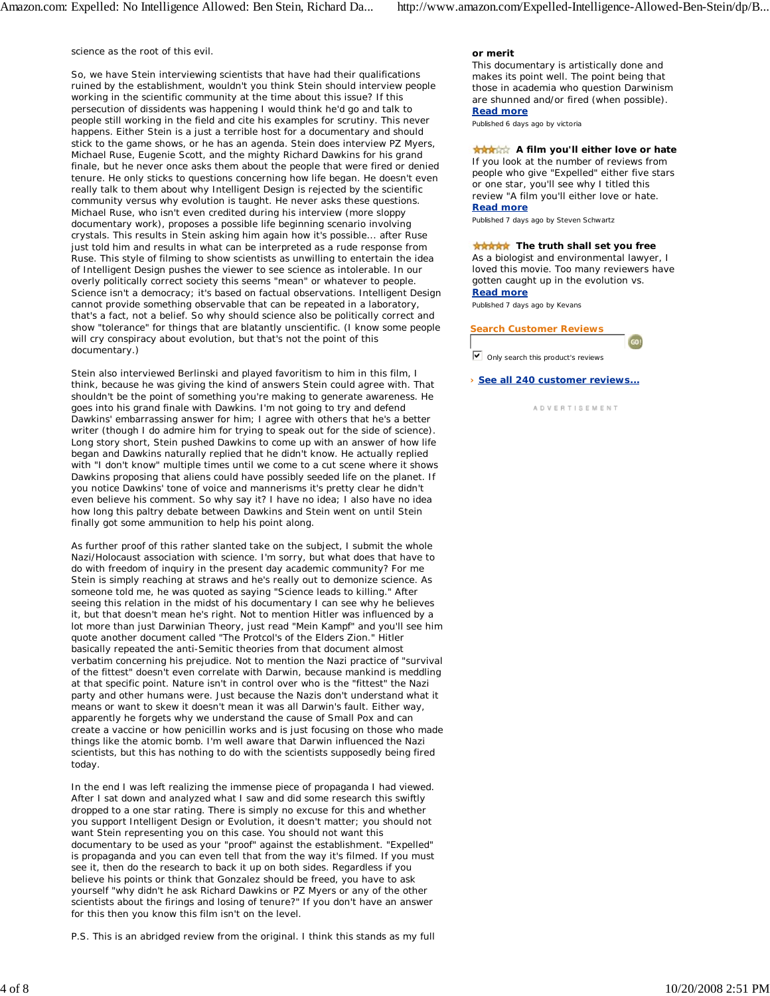science as the root of this evil.

So, we have Stein interviewing scientists that have had their qualifications ruined by the establishment, wouldn't you think Stein should interview people working in the scientific community at the time about this issue? If this persecution of dissidents was happening I would think he'd go and talk to people still working in the field and cite his examples for scrutiny. This never happens. Either Stein is a just a terrible host for a documentary and should stick to the game shows, or he has an agenda. Stein does interview PZ Myers, Michael Ruse, Eugenie Scott, and the mighty Richard Dawkins for his grand finale, but he never once asks them about the people that were fired or denied tenure. He only sticks to questions concerning how life began. He doesn't even really talk to them about why Intelligent Design is rejected by the scientific community versus why evolution is taught. He never asks these questions. Michael Ruse, who isn't even credited during his interview (more sloppy documentary work), proposes a possible life beginning scenario involving crystals. This results in Stein asking him again how it's possible... after Ruse just told him and results in what can be interpreted as a rude response from Ruse. This style of filming to show scientists as unwilling to entertain the idea of Intelligent Design pushes the viewer to see science as intolerable. In our overly politically correct society this seems "mean" or whatever to people. Science isn't a democracy; it's based on factual observations. Intelligent Design cannot provide something observable that can be repeated in a laboratory, that's a fact, not a belief. So why should science also be politically correct and show "tolerance" for things that are blatantly unscientific. (I know some people will cry conspiracy about evolution, but that's not the point of this documentary.)

Stein also interviewed Berlinski and played favoritism to him in this film, I think, because he was giving the kind of answers Stein could agree with. That shouldn't be the point of something you're making to generate awareness. He goes into his grand finale with Dawkins. I'm not going to try and defend Dawkins' embarrassing answer for him; I agree with others that he's a better writer (though I do admire him for trying to speak out for the side of science). Long story short, Stein pushed Dawkins to come up with an answer of how life began and Dawkins naturally replied that he didn't know. He actually replied with "I don't know" multiple times until we come to a cut scene where it shows Dawkins proposing that aliens could have possibly seeded life on the planet. If you notice Dawkins' tone of voice and mannerisms it's pretty clear he didn't even believe his comment. So why say it? I have no idea; I also have no idea how long this paltry debate between Dawkins and Stein went on until Stein finally got some ammunition to help his point along.

As further proof of this rather slanted take on the subject, I submit the whole Nazi/Holocaust association with science. I'm sorry, but what does that have to do with freedom of inquiry in the present day academic community? For me Stein is simply reaching at straws and he's really out to demonize science. As someone told me, he was quoted as saying "Science leads to killing." After seeing this relation in the midst of his documentary I can see why he believes it, but that doesn't mean he's right. Not to mention Hitler was influenced by a lot more than just Darwinian Theory, just read "Mein Kampf" and you'll see him quote another document called "The Protcol's of the Elders Zion." Hitler basically repeated the anti-Semitic theories from that document almost verbatim concerning his prejudice. Not to mention the Nazi practice of "survival of the fittest" doesn't even correlate with Darwin, because mankind is meddling at that specific point. Nature isn't in control over who is the "fittest" the Nazi party and other humans were. Just because the Nazis don't understand what it means or want to skew it doesn't mean it was all Darwin's fault. Either way, apparently he forgets why we understand the cause of Small Pox and can create a vaccine or how penicillin works and is just focusing on those who made things like the atomic bomb. I'm well aware that Darwin influenced the Nazi scientists, but this has nothing to do with the scientists supposedly being fired today.

In the end I was left realizing the immense piece of propaganda I had viewed. After I sat down and analyzed what I saw and did some research this swiftly dropped to a one star rating. There is simply no excuse for this and whether you support Intelligent Design or Evolution, it doesn't matter; you should not want Stein representing you on this case. You should not want this documentary to be used as your "proof" against the establishment. "Expelled" is propaganda and you can even tell that from the way it's filmed. If you must see it, then do the research to back it up on both sides. Regardless if you believe his points or think that Gonzalez should be freed, you have to ask yourself "why didn't he ask Richard Dawkins or PZ Myers or any of the other scientists about the firings and losing of tenure?" If you don't have an answer for this then you know this film isn't on the level.

P.S. This is an abridged review from the original. I think this stands as my full

## **or merit**

This documentary is artistically done and makes its point well. The point being that those in academia who question Darwinism are shunned and/or fired (when possible). **Read more**

Published 6 days ago by victoria

## **A film you'll either love or hate**

If you look at the number of reviews from people who give "Expelled" either five stars or one star, you'll see why I titled this review "A film you'll either love or hate. **Read more**

Published 7 days ago by Steven Schwartz

## **The truth shall set you free**

As a biologist and environmental lawyer, I loved this movie. Too many reviewers have gotten caught up in the evolution vs. **Read more**

Published 7 days ago by Kevans

# **Search Customer Reviews**

 $\triangledown$  Only search this product's reviews

**› See all 240 customer reviews...**

A D V E R T I S E M E N T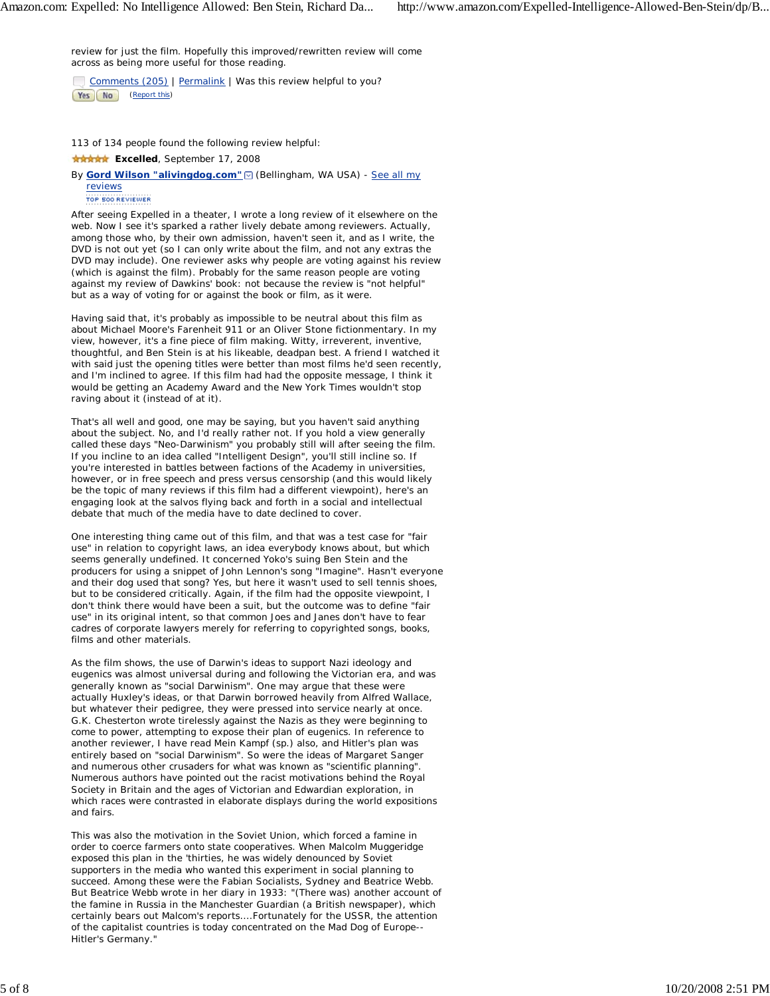review for just the film. Hopefully this improved/rewritten review will come across as being more useful for those reading.

Comments (205) | Permalink | Was this review helpful to you? Yes No (Report this)

113 of 134 people found the following review helpful:

## **\*\*\*\*\*** Excelled, September 17, 2008

By **Gord Wilson "alivingdog.com" Ø** (Bellingham, WA USA) - See all my reviews

TOP 500 REVIEWER

After seeing Expelled in a theater, I wrote a long review of it elsewhere on the web. Now I see it's sparked a rather lively debate among reviewers. Actually, among those who, by their own admission, haven't seen it, and as I write, the DVD is not out yet (so I can only write about the film, and not any extras the DVD may include). One reviewer asks why people are voting against his review (which is against the film). Probably for the same reason people are voting against my review of Dawkins' book: not because the review is "not helpful" but as a way of voting for or against the book or film, as it were.

Having said that, it's probably as impossible to be neutral about this film as about Michael Moore's Farenheit 911 or an Oliver Stone fictionmentary. In my view, however, it's a fine piece of film making. Witty, irreverent, inventive, thoughtful, and Ben Stein is at his likeable, deadpan best. A friend I watched it with said just the opening titles were better than most films he'd seen recently, and I'm inclined to agree. If this film had had the opposite message, I think it would be getting an Academy Award and the New York Times wouldn't stop raving about it (instead of at it).

That's all well and good, one may be saying, but you haven't said anything about the subject. No, and I'd really rather not. If you hold a view generally called these days "Neo-Darwinism" you probably still will after seeing the film. If you incline to an idea called "Intelligent Design", you'll still incline so. If you're interested in battles between factions of the Academy in universities, however, or in free speech and press versus censorship (and this would likely be the topic of many reviews if this film had a different viewpoint), here's an engaging look at the salvos flying back and forth in a social and intellectual debate that much of the media have to date declined to cover.

One interesting thing came out of this film, and that was a test case for "fair use" in relation to copyright laws, an idea everybody knows about, but which seems generally undefined. It concerned Yoko's suing Ben Stein and the producers for using a snippet of John Lennon's song "Imagine". Hasn't everyone and their dog used that song? Yes, but here it wasn't used to sell tennis shoes, but to be considered critically. Again, if the film had the opposite viewpoint, I don't think there would have been a suit, but the outcome was to define "fair use" in its original intent, so that common Joes and Janes don't have to fear cadres of corporate lawyers merely for referring to copyrighted songs, books, films and other materials.

As the film shows, the use of Darwin's ideas to support Nazi ideology and eugenics was almost universal during and following the Victorian era, and was generally known as "social Darwinism". One may argue that these were actually Huxley's ideas, or that Darwin borrowed heavily from Alfred Wallace, but whatever their pedigree, they were pressed into service nearly at once. G.K. Chesterton wrote tirelessly against the Nazis as they were beginning to come to power, attempting to expose their plan of eugenics. In reference to another reviewer, I have read Mein Kampf (sp.) also, and Hitler's plan was entirely based on "social Darwinism". So were the ideas of Margaret Sanger and numerous other crusaders for what was known as "scientific planning". Numerous authors have pointed out the racist motivations behind the Royal Society in Britain and the ages of Victorian and Edwardian exploration, in which races were contrasted in elaborate displays during the world expositions and fairs.

This was also the motivation in the Soviet Union, which forced a famine in order to coerce farmers onto state cooperatives. When Malcolm Muggeridge exposed this plan in the 'thirties, he was widely denounced by Soviet supporters in the media who wanted this experiment in social planning to succeed. Among these were the Fabian Socialists, Sydney and Beatrice Webb. But Beatrice Webb wrote in her diary in 1933: "(There was) another account of the famine in Russia in the Manchester Guardian (a British newspaper), which certainly bears out Malcom's reports....Fortunately for the USSR, the attention of the capitalist countries is today concentrated on the Mad Dog of Europe-- Hitler's Germany."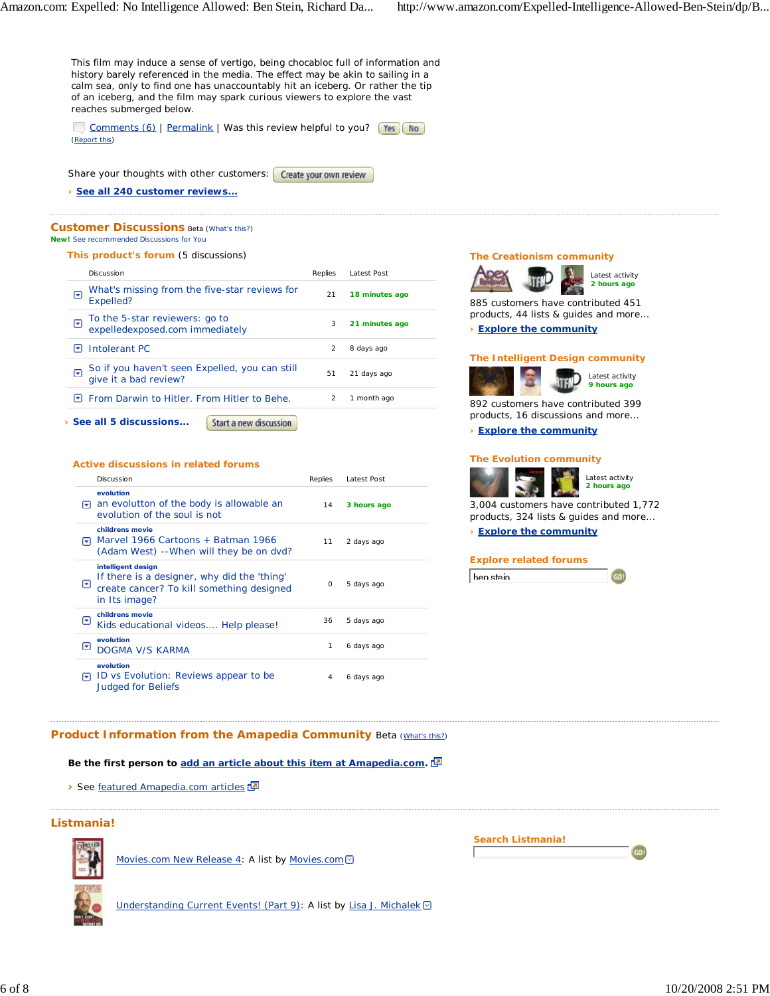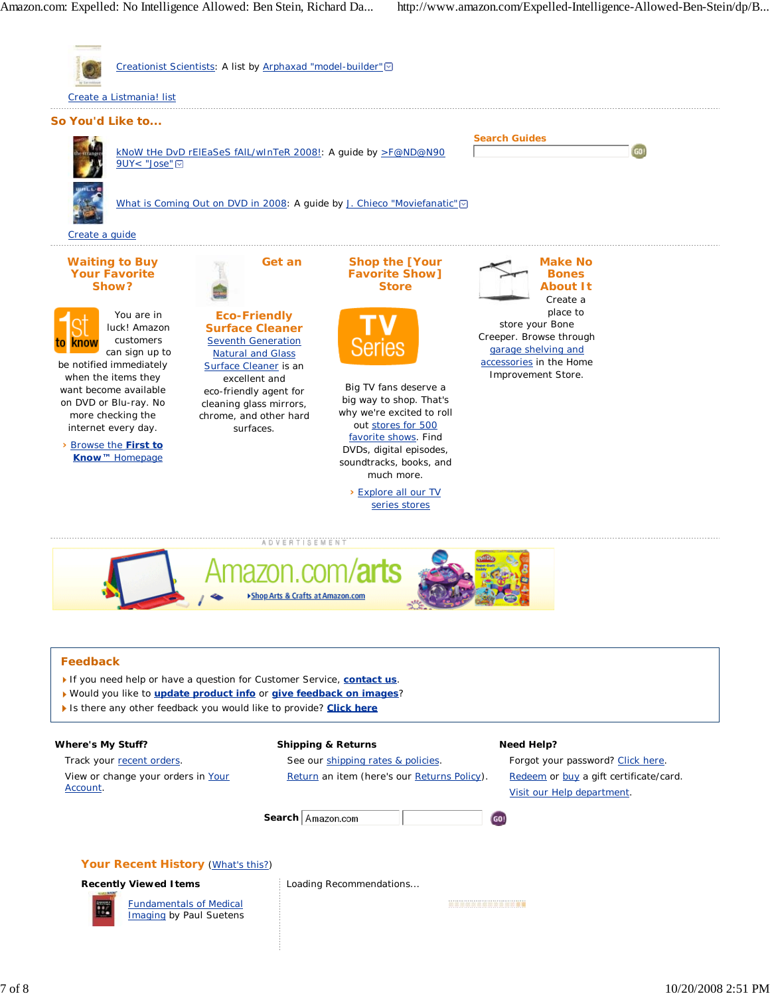